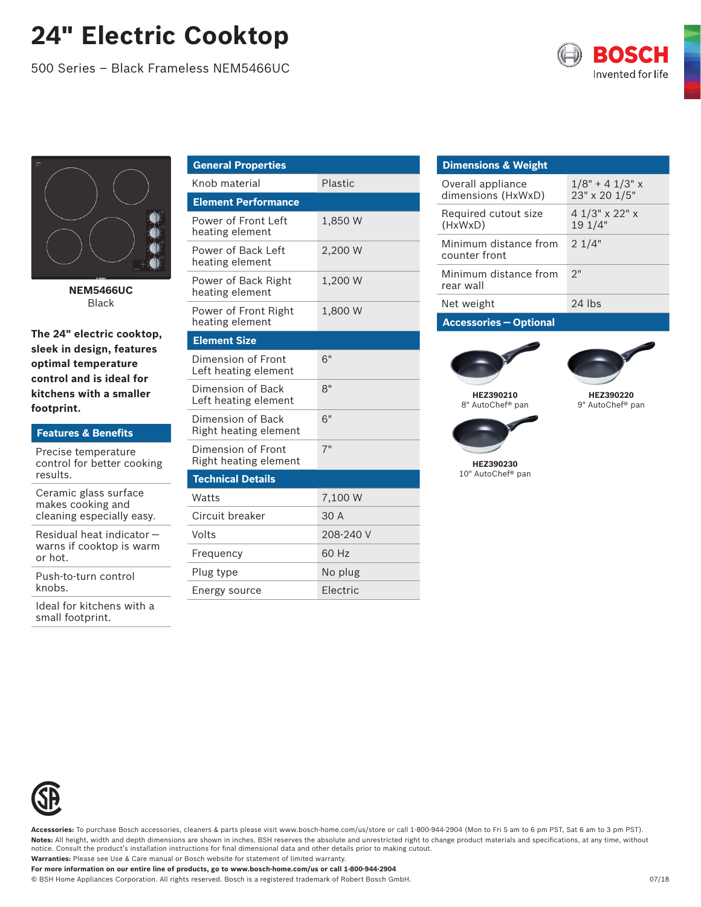## **24" Electric Cooktop**

500 Series – Black Frameless NEM5466UC





**NEM5466UC** Black

**The 24" electric cooktop, sleek in design, features optimal temperature control and is ideal for kitchens with a smaller footprint.**

| <b>Features &amp; Benefits</b>                                          | Righ         |
|-------------------------------------------------------------------------|--------------|
| Precise temperature<br>control for better cooking<br>results.           | Dime<br>Righ |
|                                                                         | <b>Tech</b>  |
| Ceramic glass surface<br>makes cooking and<br>cleaning especially easy. | Watt         |
|                                                                         | Circu        |
| Residual heat indicator -                                               | Volts        |
| warns if cooktop is warm<br>or hot.                                     | Freg         |
| Push-to-turn control                                                    | Plug         |
| knobs.                                                                  | F ner        |

Ideal for kitchens with a small footprint.

| <b>General Properties</b>                   |           |
|---------------------------------------------|-----------|
| Knob material                               | Plastic   |
| <b>Element Performance</b>                  |           |
| Power of Front Left<br>heating element      | 1.850 W   |
| Power of Back Left<br>heating element       | 2,200 W   |
| Power of Back Right<br>heating element      | 1.200 W   |
| Power of Front Right<br>heating element     | 1,800 W   |
| <b>Element Size</b>                         |           |
| Dimension of Front<br>Left heating element  | 6"        |
| Dimension of Back<br>Left heating element   | 8"        |
| Dimension of Back<br>Right heating element  | 6"        |
| Dimension of Front<br>Right heating element | 7"        |
| <b>Technical Details</b>                    |           |
| Watts                                       | 7,100 W   |
| Circuit breaker                             | 30 A      |
| Volts                                       | 208-240 V |
| Frequency                                   | 60 Hz     |
| Plug type                                   | No plug   |
| Energy source                               | Electric  |
|                                             |           |

## **Dimensions & Weight** Overall appliance dimensions (HxWxD)  $1/8" + 4 1/3"$  x 23" x 20 1/5" Required cutout size (HxWxD) 4 1/3" x 22" x 19 1/4" Minimum distance from counter front 2 1/4" Minimum distance from rear wall  $2"$ Net weight 24 lbs

**Accessories — Optional**





**HEZ390220** 9" AutoChef® pan



**HEZ390230** 10" AutoChef® pan



**Accessories:** To purchase Bosch accessories, cleaners & parts please visit www.bosch-home.com/us/store or call 1-800-944-2904 (Mon to Fri 5 am to 6 pm PST, Sat 6 am to 3 pm PST). Notes: All height, width and depth dimensions are shown in inches. BSH reserves the absolute and unrestricted right to change product materials and specifications, at any time, without notice. Consult the product's installation instructions for final dimensional data and other details prior to making cutout. **Warranties:** Please see Use & Care manual or Bosch website for statement of limited warranty.

**For more information on our entire line of products, go to www.bosch-home.com/us or call 1-800-944-2904**

© BSH Home Appliances Corporation. All rights reserved. Bosch is a registered trademark of Robert Bosch GmbH.